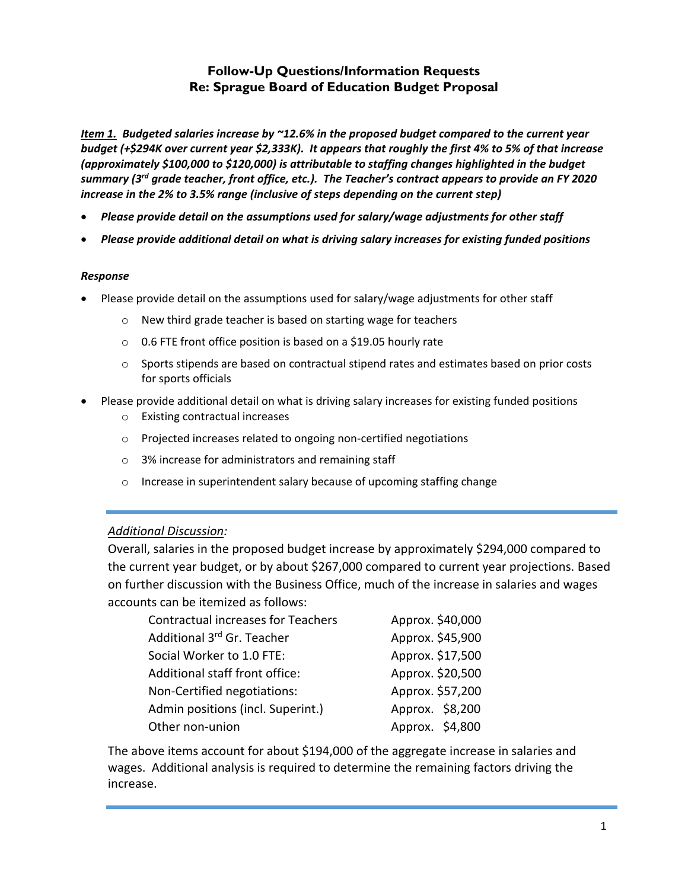## **Follow-Up Questions/Information Requests Re: Sprague Board of Education Budget Proposal**

*Item 1. Budgeted salaries increase by ~12.6% in the proposed budget compared to the current year budget (+\$294K over current year \$2,333K). It appears that roughly the first 4% to 5% of that increase (approximately \$100,000 to \$120,000) is attributable to staffing changes highlighted in the budget summary (3rd grade teacher, front office, etc.). The Teacher's contract appears to provide an FY 2020 increase in the 2% to 3.5% range (inclusive of steps depending on the current step)*

- *Please provide detail on the assumptions used for salary/wage adjustments for other staff*
- *Please provide additional detail on what is driving salary increases for existing funded positions*

#### *Response*

- Please provide detail on the assumptions used for salary/wage adjustments for other staff
	- o New third grade teacher is based on starting wage for teachers
	- o 0.6 FTE front office position is based on a \$19.05 hourly rate
	- o Sports stipends are based on contractual stipend rates and estimates based on prior costs for sports officials
- Please provide additional detail on what is driving salary increases for existing funded positions
	- o Existing contractual increases
	- o Projected increases related to ongoing non-certified negotiations
	- o 3% increase for administrators and remaining staff
	- o Increase in superintendent salary because of upcoming staffing change

## *Additional Discussion:*

Overall, salaries in the proposed budget increase by approximately \$294,000 compared to the current year budget, or by about \$267,000 compared to current year projections. Based on further discussion with the Business Office, much of the increase in salaries and wages accounts can be itemized as follows:

| <b>Contractual increases for Teachers</b> | Approx. \$40,000 |
|-------------------------------------------|------------------|
| Additional 3rd Gr. Teacher                | Approx. \$45,900 |
| Social Worker to 1.0 FTE:                 | Approx. \$17,500 |
| Additional staff front office:            | Approx. \$20,500 |
| Non-Certified negotiations:               | Approx. \$57,200 |
| Admin positions (incl. Superint.)         | Approx. \$8,200  |
| Other non-union                           | Approx. \$4,800  |

The above items account for about \$194,000 of the aggregate increase in salaries and wages. Additional analysis is required to determine the remaining factors driving the increase.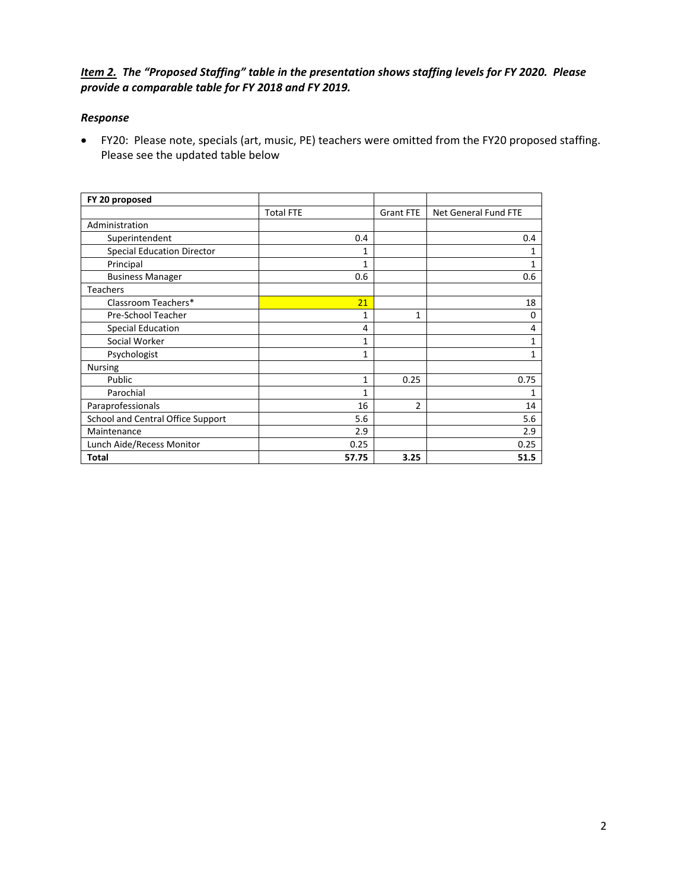## *Item 2. The "Proposed Staffing" table in the presentation shows staffing levels for FY 2020. Please provide a comparable table for FY 2018 and FY 2019.*

#### *Response*

 FY20: Please note, specials (art, music, PE) teachers were omitted from the FY20 proposed staffing. Please see the updated table below

| FY 20 proposed                    |                  |                |                      |
|-----------------------------------|------------------|----------------|----------------------|
|                                   | <b>Total FTE</b> | Grant FTE      | Net General Fund FTE |
| Administration                    |                  |                |                      |
| Superintendent                    | 0.4              |                | 0.4                  |
| <b>Special Education Director</b> | 1                |                | 1                    |
| Principal                         | 1                |                | 1                    |
| <b>Business Manager</b>           | 0.6              |                | 0.6                  |
| <b>Teachers</b>                   |                  |                |                      |
| Classroom Teachers*               | 21               |                | 18                   |
| Pre-School Teacher                | 1                | 1              | 0                    |
| Special Education                 | 4                |                | 4                    |
| Social Worker                     | 1                |                | 1                    |
| Psychologist                      | 1                |                | 1                    |
| <b>Nursing</b>                    |                  |                |                      |
| Public                            | 1                | 0.25           | 0.75                 |
| Parochial                         | 1                |                | 1                    |
| Paraprofessionals                 | 16               | $\overline{2}$ | 14                   |
| School and Central Office Support | 5.6              |                | 5.6                  |
| Maintenance                       | 2.9              |                | 2.9                  |
| Lunch Aide/Recess Monitor         | 0.25             |                | 0.25                 |
| Total                             | 57.75            | 3.25           | 51.5                 |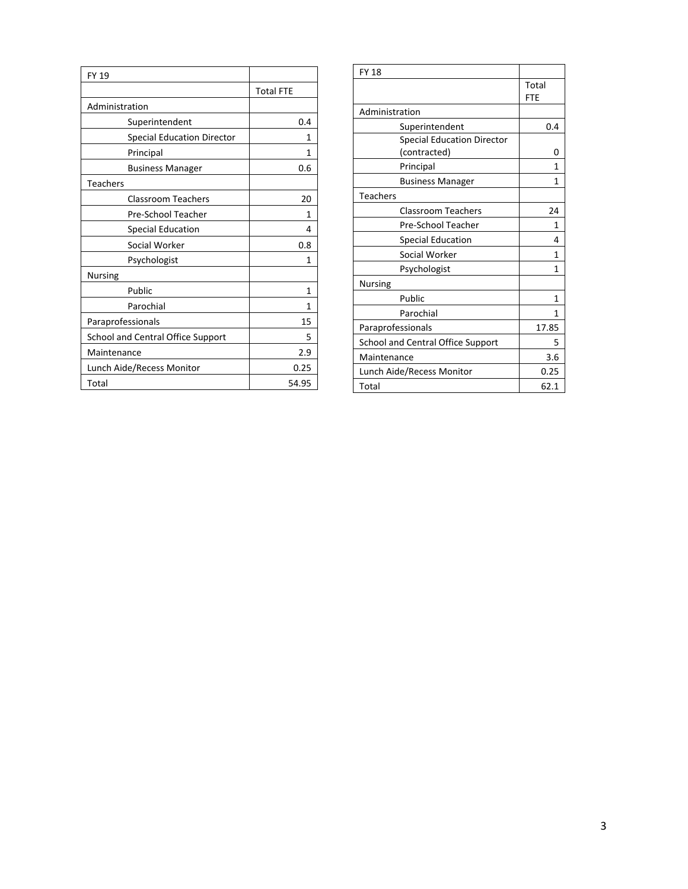| <b>FY 19</b>                      |                  |  |
|-----------------------------------|------------------|--|
|                                   | <b>Total FTE</b> |  |
| Administration                    |                  |  |
| Superintendent                    | 0.4              |  |
| <b>Special Education Director</b> | 1                |  |
| Principal                         | 1                |  |
| <b>Business Manager</b>           | 0.6              |  |
| <b>Teachers</b>                   |                  |  |
| <b>Classroom Teachers</b>         | 20               |  |
| Pre-School Teacher                | 1                |  |
| <b>Special Education</b>          | 4                |  |
| Social Worker                     | 0.8              |  |
| Psychologist                      | 1                |  |
| <b>Nursing</b>                    |                  |  |
| Public                            | 1                |  |
| Parochial                         | 1                |  |
| Paraprofessionals                 | 15               |  |
| School and Central Office Support | 5                |  |
| Maintenance                       | 2.9              |  |
| Lunch Aide/Recess Monitor         | 0.25             |  |
| Total                             | 54.95            |  |

| <b>FY 18</b>                                      |              |
|---------------------------------------------------|--------------|
|                                                   | Total<br>FTE |
| Administration                                    |              |
| Superintendent                                    | 0.4          |
| <b>Special Education Director</b><br>(contracted) | O            |
| Principal                                         | 1            |
| <b>Business Manager</b>                           | 1            |
| <b>Teachers</b>                                   |              |
| <b>Classroom Teachers</b>                         | 24           |
| Pre-School Teacher                                | 1            |
| Special Education                                 | 4            |
| Social Worker                                     | 1            |
| Psychologist                                      | 1            |
| <b>Nursing</b>                                    |              |
| Public                                            | 1            |
| Parochial                                         | 1            |
| Paraprofessionals                                 | 17.85        |
| School and Central Office Support                 | 5            |
| Maintenance                                       | 3.6          |
| Lunch Aide/Recess Monitor                         | 0.25         |
| Total                                             | 62.1         |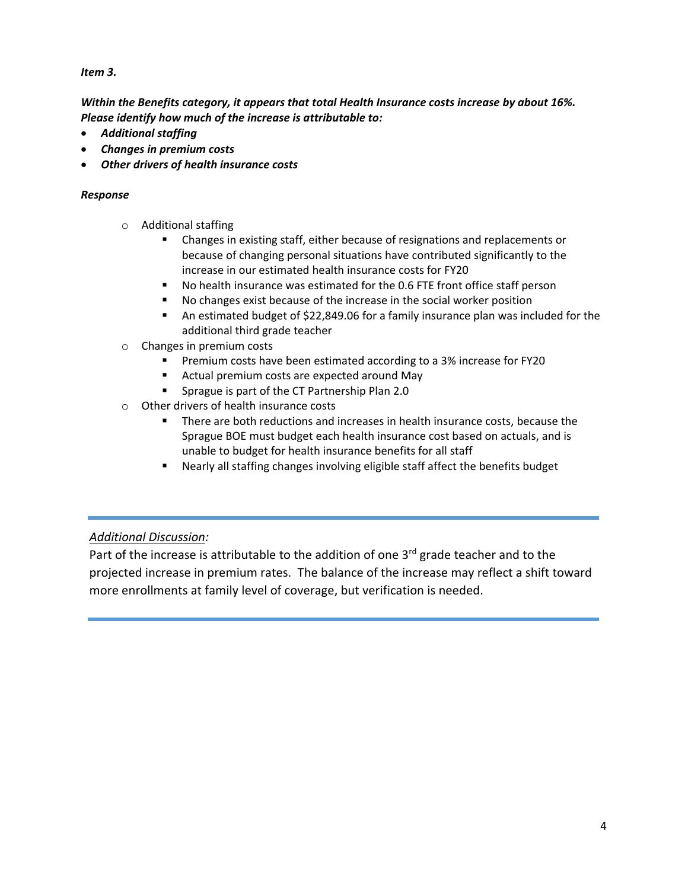## *Item 3.*

*Within the Benefits category, it appears that total Health Insurance costs increase by about 16%. Please identify how much of the increase is attributable to:*

- *Additional staffing*
- *Changes in premium costs*
- *Other drivers of health insurance costs*

#### *Response*

- o Additional staffing
	- Changes in existing staff, either because of resignations and replacements or because of changing personal situations have contributed significantly to the increase in our estimated health insurance costs for FY20
	- No health insurance was estimated for the 0.6 FTE front office staff person
	- No changes exist because of the increase in the social worker position
	- An estimated budget of \$22,849.06 for a family insurance plan was included for the additional third grade teacher
- o Changes in premium costs
	- Premium costs have been estimated according to a 3% increase for FY20
	- **EXTERGHTM** COSTS are expected around May
	- **Sprague is part of the CT Partnership Plan 2.0**
- o Other drivers of health insurance costs
	- There are both reductions and increases in health insurance costs, because the Sprague BOE must budget each health insurance cost based on actuals, and is unable to budget for health insurance benefits for all staff
	- Nearly all staffing changes involving eligible staff affect the benefits budget

## *Additional Discussion:*

Part of the increase is attributable to the addition of one  $3<sup>rd</sup>$  grade teacher and to the projected increase in premium rates. The balance of the increase may reflect a shift toward more enrollments at family level of coverage, but verification is needed.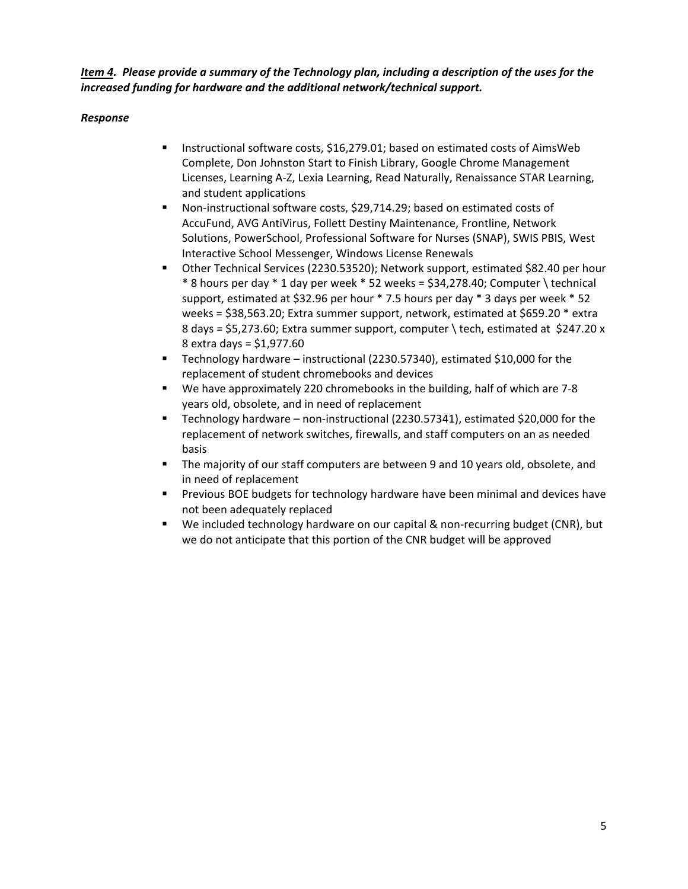*Item 4. Please provide a summary of the Technology plan, including a description of the uses for the increased funding for hardware and the additional network/technical support.*

- **Instructional software costs, \$16,279.01; based on estimated costs of AimsWeb** Complete, Don Johnston Start to Finish Library, Google Chrome Management Licenses, Learning A-Z, Lexia Learning, Read Naturally, Renaissance STAR Learning, and student applications
- Non-instructional software costs, \$29,714.29; based on estimated costs of AccuFund, AVG AntiVirus, Follett Destiny Maintenance, Frontline, Network Solutions, PowerSchool, Professional Software for Nurses (SNAP), SWIS PBIS, West Interactive School Messenger, Windows License Renewals
- Other Technical Services (2230.53520); Network support, estimated \$82.40 per hour  $*$  8 hours per day  $*$  1 day per week  $*$  52 weeks = \$34,278.40; Computer \technical support, estimated at \$32.96 per hour \* 7.5 hours per day \* 3 days per week \* 52 weeks = \$38,563.20; Extra summer support, network, estimated at \$659.20 \* extra 8 days = \$5,273.60; Extra summer support, computer \ tech, estimated at \$247.20 x 8 extra days = \$1,977.60
- Technology hardware instructional (2230.57340), estimated \$10,000 for the replacement of student chromebooks and devices
- We have approximately 220 chromebooks in the building, half of which are 7-8 years old, obsolete, and in need of replacement
- Technology hardware non-instructional (2230.57341), estimated \$20,000 for the replacement of network switches, firewalls, and staff computers on an as needed basis
- The majority of our staff computers are between 9 and 10 years old, obsolete, and in need of replacement
- Previous BOE budgets for technology hardware have been minimal and devices have not been adequately replaced
- We included technology hardware on our capital & non-recurring budget (CNR), but we do not anticipate that this portion of the CNR budget will be approved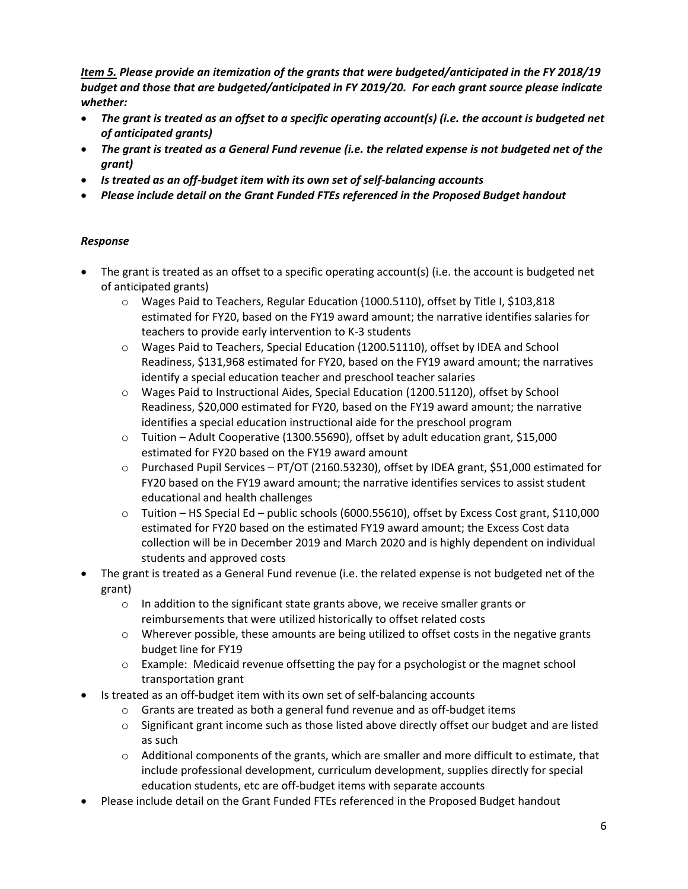*Item 5. Please provide an itemization of the grants that were budgeted/anticipated in the FY 2018/19 budget and those that are budgeted/anticipated in FY 2019/20. For each grant source please indicate whether:*

- *The grant is treated as an offset to a specific operating account(s) (i.e. the account is budgeted net of anticipated grants)*
- *The grant is treated as a General Fund revenue (i.e. the related expense is not budgeted net of the grant)*
- *Is treated as an off-budget item with its own set of self-balancing accounts*
- *Please include detail on the Grant Funded FTEs referenced in the Proposed Budget handout*

- The grant is treated as an offset to a specific operating account(s) (i.e. the account is budgeted net of anticipated grants)
	- o Wages Paid to Teachers, Regular Education (1000.5110), offset by Title I, \$103,818 estimated for FY20, based on the FY19 award amount; the narrative identifies salaries for teachers to provide early intervention to K-3 students
	- o Wages Paid to Teachers, Special Education (1200.51110), offset by IDEA and School Readiness, \$131,968 estimated for FY20, based on the FY19 award amount; the narratives identify a special education teacher and preschool teacher salaries
	- o Wages Paid to Instructional Aides, Special Education (1200.51120), offset by School Readiness, \$20,000 estimated for FY20, based on the FY19 award amount; the narrative identifies a special education instructional aide for the preschool program
	- $\circ$  Tuition Adult Cooperative (1300.55690), offset by adult education grant, \$15,000 estimated for FY20 based on the FY19 award amount
	- o Purchased Pupil Services PT/OT (2160.53230), offset by IDEA grant, \$51,000 estimated for FY20 based on the FY19 award amount; the narrative identifies services to assist student educational and health challenges
	- o Tuition HS Special Ed public schools (6000.55610), offset by Excess Cost grant, \$110,000 estimated for FY20 based on the estimated FY19 award amount; the Excess Cost data collection will be in December 2019 and March 2020 and is highly dependent on individual students and approved costs
- The grant is treated as a General Fund revenue (i.e. the related expense is not budgeted net of the grant)
	- o In addition to the significant state grants above, we receive smaller grants or reimbursements that were utilized historically to offset related costs
	- $\circ$  Wherever possible, these amounts are being utilized to offset costs in the negative grants budget line for FY19
	- o Example: Medicaid revenue offsetting the pay for a psychologist or the magnet school transportation grant
- Is treated as an off-budget item with its own set of self-balancing accounts
	- o Grants are treated as both a general fund revenue and as off-budget items
	- $\circ$  Significant grant income such as those listed above directly offset our budget and are listed as such
	- $\circ$  Additional components of the grants, which are smaller and more difficult to estimate, that include professional development, curriculum development, supplies directly for special education students, etc are off-budget items with separate accounts
- Please include detail on the Grant Funded FTEs referenced in the Proposed Budget handout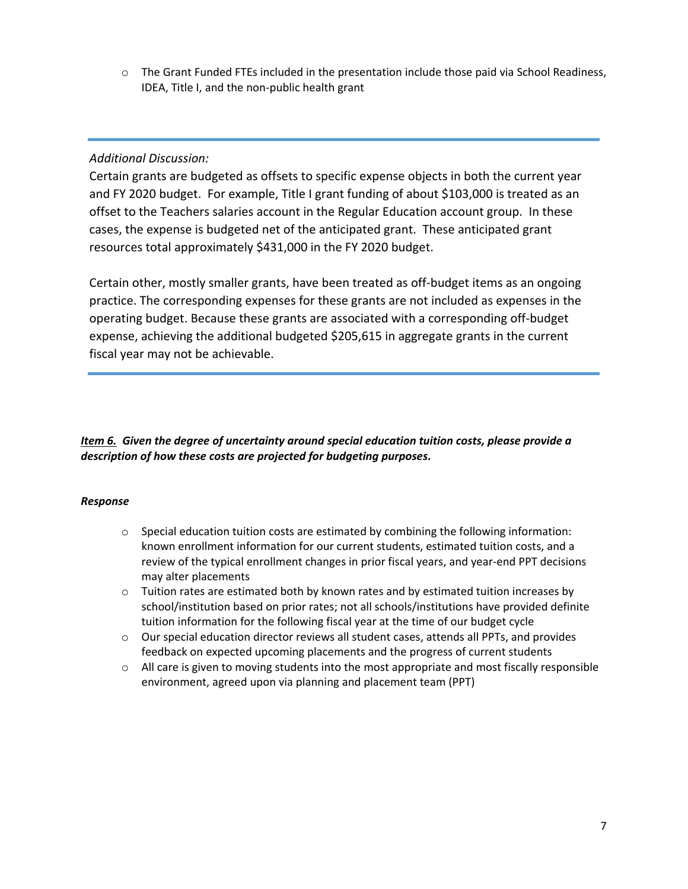o The Grant Funded FTEs included in the presentation include those paid via School Readiness, IDEA, Title I, and the non-public health grant

## *Additional Discussion:*

Certain grants are budgeted as offsets to specific expense objects in both the current year and FY 2020 budget. For example, Title I grant funding of about \$103,000 is treated as an offset to the Teachers salaries account in the Regular Education account group. In these cases, the expense is budgeted net of the anticipated grant. These anticipated grant resources total approximately \$431,000 in the FY 2020 budget.

Certain other, mostly smaller grants, have been treated as off-budget items as an ongoing practice. The corresponding expenses for these grants are not included as expenses in the operating budget. Because these grants are associated with a corresponding off-budget expense, achieving the additional budgeted \$205,615 in aggregate grants in the current fiscal year may not be achievable.

## *Item 6. Given the degree of uncertainty around special education tuition costs, please provide a description of how these costs are projected for budgeting purposes.*

- $\circ$  Special education tuition costs are estimated by combining the following information: known enrollment information for our current students, estimated tuition costs, and a review of the typical enrollment changes in prior fiscal years, and year-end PPT decisions may alter placements
- $\circ$  Tuition rates are estimated both by known rates and by estimated tuition increases by school/institution based on prior rates; not all schools/institutions have provided definite tuition information for the following fiscal year at the time of our budget cycle
- $\circ$  Our special education director reviews all student cases, attends all PPTs, and provides feedback on expected upcoming placements and the progress of current students
- o All care is given to moving students into the most appropriate and most fiscally responsible environment, agreed upon via planning and placement team (PPT)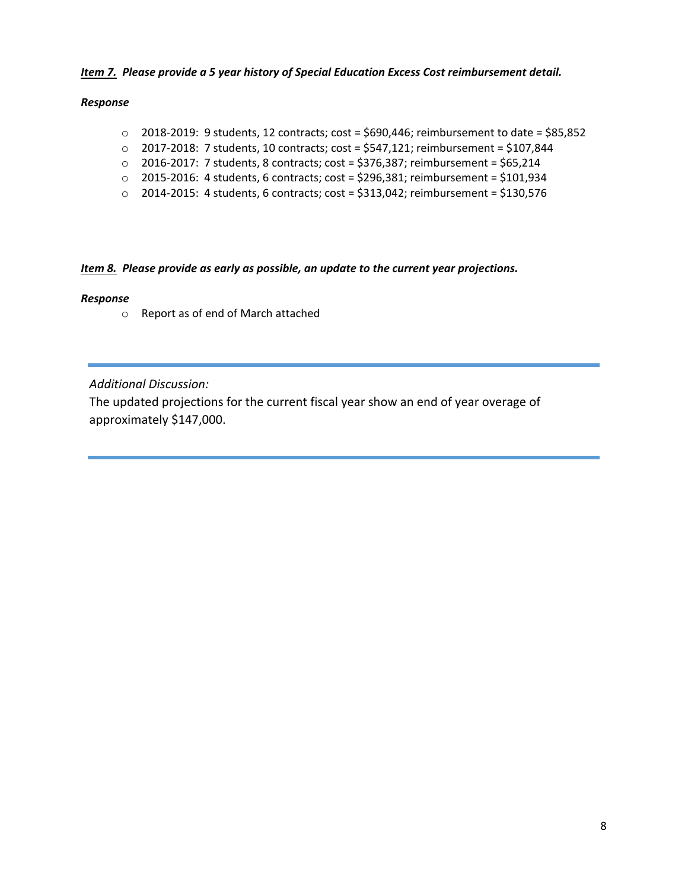#### *Item 7. Please provide a 5 year history of Special Education Excess Cost reimbursement detail.*

#### *Response*

- $\circ$  2018-2019: 9 students, 12 contracts; cost = \$690,446; reimbursement to date = \$85,852
- o 2017-2018: 7 students, 10 contracts; cost = \$547,121; reimbursement = \$107,844
- o 2016-2017: 7 students, 8 contracts; cost = \$376,387; reimbursement = \$65,214
- o 2015-2016: 4 students, 6 contracts; cost = \$296,381; reimbursement = \$101,934
- $\circ$  2014-2015: 4 students, 6 contracts; cost = \$313,042; reimbursement = \$130,576

#### *Item 8. Please provide as early as possible, an update to the current year projections.*

#### *Response*

o Report as of end of March attached

*Additional Discussion:*

The updated projections for the current fiscal year show an end of year overage of approximately \$147,000.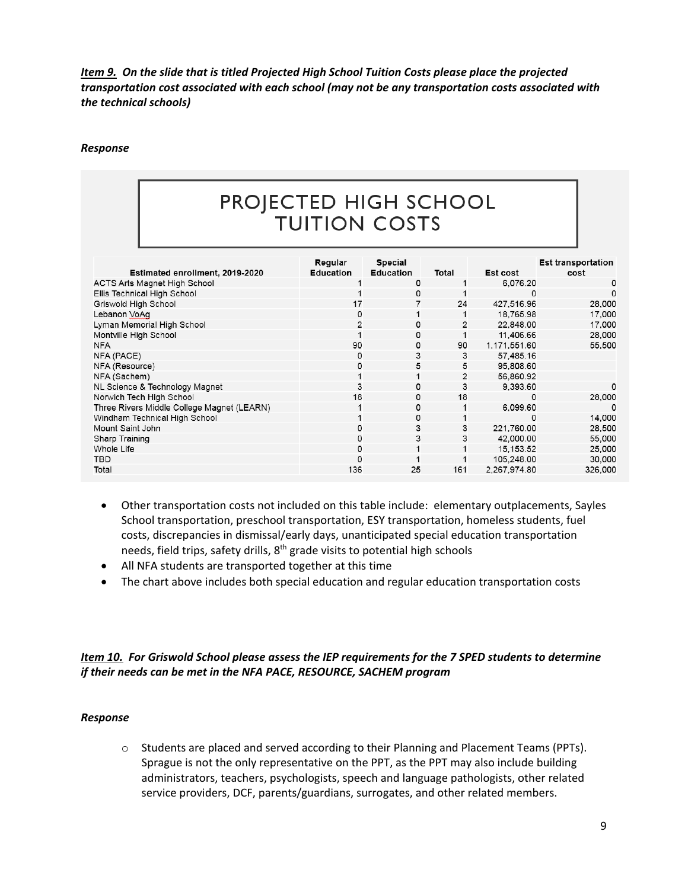*Item 9. On the slide that is titled Projected High School Tuition Costs please place the projected transportation cost associated with each school (may not be any transportation costs associated with the technical schools)*

#### *Response*

# PROJECTED HIGH SCHOOL **TUITION COSTS**

|                                            | Regular          | Special          |                |              | <b>Est transportation</b> |
|--------------------------------------------|------------------|------------------|----------------|--------------|---------------------------|
| Estimated enrollment, 2019-2020            | <b>Education</b> | <b>Education</b> | Total          | Est cost     | cost                      |
| ACTS Arts Magnet High School               |                  | 0                |                | 6.076.20     | $\Omega$                  |
| Ellis Technical High School                |                  | 0                |                | 0            |                           |
| Griswold High School                       | 17               |                  | 24             | 427.516.96   | 28,000                    |
| Lebanon VoAq                               | 0                |                  |                | 18,765.98    | 17,000                    |
| Lyman Memorial High School                 |                  | 0                | $\overline{2}$ | 22.848.00    | 17.000                    |
| Montville High School                      |                  | 0                |                | 11.406.66    | 28,000                    |
| <b>NFA</b>                                 | 90               | 0                | 90             | 1,171,551.60 | 55,500                    |
| NFA (PACE)                                 | 0                | 3                | 3              | 57.485.16    |                           |
| NFA (Resource)                             | 0                | 5                | 5              | 95,808.60    |                           |
| NFA (Sachem)                               |                  | 1                | $\overline{2}$ | 56.860.92    |                           |
| NL Science & Technology Magnet             | 3                | $\mathbf 0$      | 3              | 9.393.60     | <sup>0</sup>              |
| Norwich Tech High School                   | 18               | 0                | 18             | 0            | 28,000                    |
| Three Rivers Middle College Magnet (LEARN) |                  | 0                |                | 6.099.60     |                           |
| Windham Technical High School              |                  | $\mathbf 0$      |                | 0            | 14,000                    |
| Mount Saint John                           | 0                | 3                | 3              | 221.760.00   | 28.500                    |
| Sharp Training                             | Ω                | 3                | 3              | 42.000.00    | 55,000                    |
| Whole Life                                 | 0                | 1                |                | 15, 153.52   | 25,000                    |
| TBD.                                       | 0                |                  |                | 105.248.00   | 30.000                    |
| Total                                      | 136              | 25               | 161            | 2.267.974.80 | 326,000                   |

- Other transportation costs not included on this table include: elementary outplacements, Sayles School transportation, preschool transportation, ESY transportation, homeless students, fuel costs, discrepancies in dismissal/early days, unanticipated special education transportation needs, field trips, safety drills,  $8<sup>th</sup>$  grade visits to potential high schools
- All NFA students are transported together at this time
- The chart above includes both special education and regular education transportation costs

## *Item 10. For Griswold School please assess the IEP requirements for the 7 SPED students to determine if their needs can be met in the NFA PACE, RESOURCE, SACHEM program*

#### *Response*

o Students are placed and served according to their Planning and Placement Teams (PPTs). Sprague is not the only representative on the PPT, as the PPT may also include building administrators, teachers, psychologists, speech and language pathologists, other related service providers, DCF, parents/guardians, surrogates, and other related members.